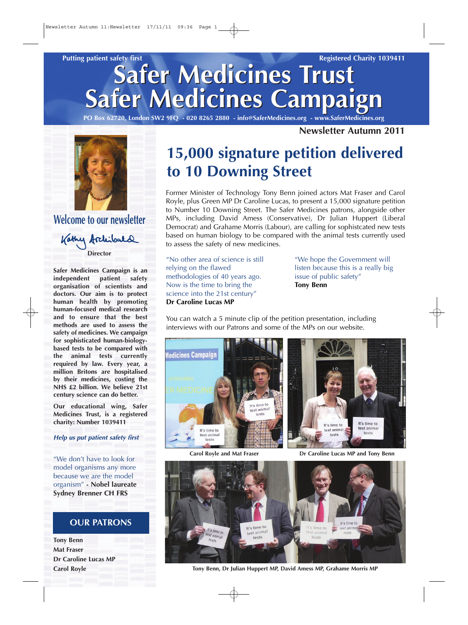# *Safer Medicines Trust Safer Medicines Trust Safer Medicines Campaign Safer Medicines Campaign Putting patient safety first Registered Charity 1039411*

*PO Box 62720, London SW2 9FQ - 020 8265 2880 - info@SaferMedicines.org - www.SaferMedicines.org*

*Newsletter Autumn 2011*



*Welcome to our newsletter*

Kathy Archibald *Director*

*Safer Medicines Campaign is an independent patient safety organisation of scientists and doctors. Our aim is to protect human health by promoting human-focused medical research and to ensure that the best methods are used to assess the safety of medicines. We campaign for sophisticated human-biologybased tests to be compared with the animal tests currently required by law. Every year, a million Britons are hospitalised by their medicines, costing the NHS £2 billion. We believe 21st century science can do better.*

*Our educational wing, Safer Medicines Trust, is a registered charity: Number 1039411*

*Help us put patient safety first*

*"We don't have to look for model organisms any more because we are the model organism" - Nobel laureate Sydney Brenner CH FRS*

#### *OUR PATRONS*

*Tony Benn Mat Fraser Dr Caroline Lucas MP Carol Royle*

# *15,000 signature petition delivered to 10 Downing Street*

*Former Minister of Technology Tony Benn joined actors Mat Fraser and Carol Royle, plus Green MP Dr Caroline Lucas, to present a 15,000 signature petition to Number 10 Downing Street. The Safer Medicines patrons, alongside other MPs, including David Amess (Conservative), Dr Julian Huppert (Liberal Democrat) and Grahame Morris (Labour), are calling for sophistcated new tests based on human biology to be compared with the animal tests currently used to assess the safety of new medicines.*

*"No other area of science is still relying on the flawed methodologies of 40 years ago. Now is the time to bring the science into the 21st century" Dr Caroline Lucas MP*

*"We hope the Government will listen because this is a really big issue of public safety" Tony Benn*

*You can watch a 5 minute clip of the petition presentation, including interviews with our Patrons and some of the MPs on our website.*





*Carol Royle and Mat Fraser Dr Caroline Lucas MP and Tony Benn*



*Tony Benn, Dr Julian Huppert MP, David Amess MP, Grahame Morris MP*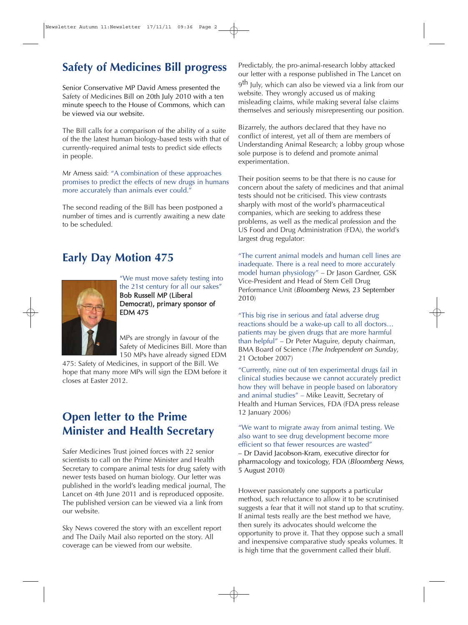# *Safety of Medicines Bill progress*

*Senior Conservative MP David Amess presented the Safety of Medicines Bill on 20th July 2010 with a ten minute speech to the House of Commons, which can be viewed via our website.*

*The Bill calls for a comparison of the ability of a suite of the the latest human biology-based tests with that of currently-required animal tests to predict side effects in people.* 

*Mr Amess said: "A combination of these approaches promises to predict the effects of new drugs in humans more accurately than animals ever could."*

*The second reading of the Bill has been postponed a number of times and is currently awaiting a new date to be scheduled.*

## *Early Day Motion 475*



*"We must move safety testing into the 21st century for all our sakes" Bob Russell MP (Liberal Democrat), primary sponsor of EDM 475*

*MPs are strongly in favour of the Safety of Medicines Bill. More than 150 MPs have already signed EDM*

*475: Safety of Medicines, in support of the Bill. We hope that many more MPs will sign the EDM before it closes at Easter 2012.*

## *Open letter to the Prime Minister and Health Secretary*

*Safer Medicines Trust joined forces with 22 senior scientists to call on the Prime Minister and Health Secretary to compare animal tests for drug safety with newer tests based on human biology. Our letter was published in the world's leading medical journal, The Lancet on 4th June 2011 and is reproduced opposite. The published version can be viewed via a link from our website.* 

*Sky News covered the story with an excellent report and The Daily Mail also reported on the story. All coverage can be viewed from our website.*

*Predictably, the pro-animal-research lobby attacked our letter with a response published in The Lancet on 9th July, which can also be viewed via a link from our website. They wrongly accused us of making misleading claims, while making several false claims themselves and seriously misrepresenting our position.* 

*Bizarrely, the authors declared that they have no conflict of interest, yet all of them are members of Understanding Animal Research; a lobby group whose sole purpose is to defend and promote animal experimentation.*

*Their position seems to be that there is no cause for concern about the safety of medicines and that animal tests should not be criticised. This view contrasts sharply with most of the world's pharmaceutical companies, which are seeking to address these problems, as well as the medical profession and the US Food and Drug Administration (FDA), the world's largest drug regulator:*

*"The current animal models and human cell lines are inadequate. There is a real need to more accurately model human physiology" – Dr Jason Gardner, GSK Vice-President and Head of Stem Cell Drug Performance Unit (Bloomberg News, 23 September 2010)*

*"This big rise in serious and fatal adverse drug reactions should be a wake-up call to all doctors… patients may be given drugs that are more harmful than helpful" – Dr Peter Maguire, deputy chairman, BMA Board of Science (The Independent on Sunday, 21 October 2007)*

*"Currently, nine out of ten experimental drugs fail in clinical studies because we cannot accurately predict how they will behave in people based on laboratory and animal studies" – Mike Leavitt, Secretary of Health and Human Services, FDA (FDA press release 12 January 2006)*

*"We want to migrate away from animal testing. We also want to see drug development become more efficient so that fewer resources are wasted" – Dr David Jacobson-Kram, executive director for pharmacology and toxicology, FDA (Bloomberg News, 5 August 2010)*

*However passionately one supports a particular method, such reluctance to allow it to be scrutinised suggests a fear that it will not stand up to that scrutiny. If animal tests really are the best method we have, then surely its advocates should welcome the opportunity to prove it. That they oppose such a small and inexpensive comparative study speaks volumes. It is high time that the government called their bluff.*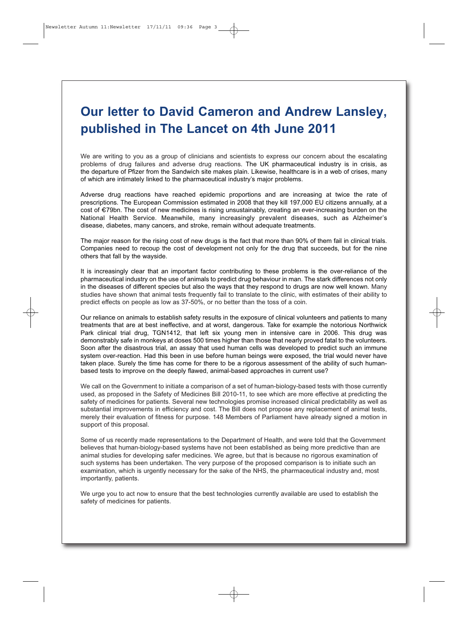# **Our letter to David Cameron and Andrew Lansley, published in The Lancet on 4th June 2011**

We are writing to you as a group of clinicians and scientists to express our concern about the escalating problems of drug failures and adverse drug reactions. The UK pharmaceutical industry is in crisis, as the departure of Pfizer from the Sandwich site makes plain. Likewise, healthcare is in a web of crises, many of which are intimately linked to the pharmaceutical industry's major problems.

Adverse drug reactions have reached epidemic proportions and are increasing at twice the rate of prescriptions. The European Commission estimated in 2008 that they kill 197,000 EU citizens annually, at a cost of €79bn. The cost of new medicines is rising unsustainably, creating an ever-increasing burden on the National Health Service. Meanwhile, many increasingly prevalent diseases, such as Alzheimer's disease, diabetes, many cancers, and stroke, remain without adequate treatments.

The major reason for the rising cost of new drugs is the fact that more than 90% of them fail in clinical trials. Companies need to recoup the cost of development not only for the drug that succeeds, but for the nine others that fall by the wayside.

It is increasingly clear that an important factor contributing to these problems is the over-reliance of the pharmaceutical industry on the use of animals to predict drug behaviour in man. The stark differences not only in the diseases of different species but also the ways that they respond to drugs are now well known. Many studies have shown that animal tests frequently fail to translate to the clinic, with estimates of their ability to predict effects on people as low as 37-50%, or no better than the toss of a coin.

Our reliance on animals to establish safety results in the exposure of clinical volunteers and patients to many treatments that are at best ineffective, and at worst, dangerous. Take for example the notorious Northwick Park clinical trial drug, TGN1412, that left six young men in intensive care in 2006. This drug was demonstrably safe in monkeys at doses 500 times higher than those that nearly proved fatal to the volunteers. Soon after the disastrous trial, an assay that used human cells was developed to predict such an immune system over-reaction. Had this been in use before human beings were exposed, the trial would never have taken place. Surely the time has come for there to be a rigorous assessment of the ability of such humanbased tests to improve on the deeply flawed, animal-based approaches in current use?

We call on the Government to initiate a comparison of a set of human-biology-based tests with those currently used, as proposed in the Safety of Medicines Bill 2010-11, to see which are more effective at predicting the safety of medicines for patients. Several new technologies promise increased clinical predictability as well as substantial improvements in efficiency and cost. The Bill does not propose any replacement of animal tests, merely their evaluation of fitness for purpose. 148 Members of Parliament have already signed a motion in support of this proposal.

Some of us recently made representations to the Department of Health, and were told that the Government believes that human-biology-based systems have not been established as being more predictive than are animal studies for developing safer medicines. We agree, but that is because no rigorous examination of such systems has been undertaken. The very purpose of the proposed comparison is to initiate such an examination, which is urgently necessary for the sake of the NHS, the pharmaceutical industry and, most importantly, patients.

We urge you to act now to ensure that the best technologies currently available are used to establish the safety of medicines for patients.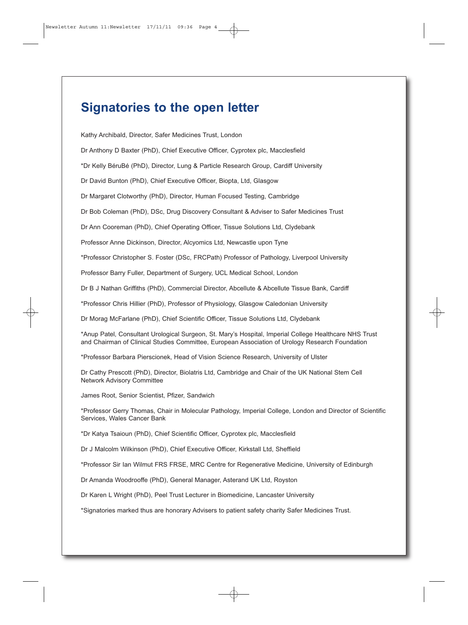## **Signatories to the open letter**

Kathy Archibald, Director, Safer Medicines Trust, London

Dr Anthony D Baxter (PhD), Chief Executive Officer, Cyprotex plc, Macclesfield

\*Dr Kelly BéruBé (PhD), Director, Lung & Particle Research Group, Cardiff University

Dr David Bunton (PhD), Chief Executive Officer, Biopta, Ltd, Glasgow

Dr Margaret Clotworthy (PhD), Director, Human Focused Testing, Cambridge

Dr Bob Coleman (PhD), DSc, Drug Discovery Consultant & Adviser to Safer Medicines Trust

Dr Ann Cooreman (PhD), Chief Operating Officer, Tissue Solutions Ltd, Clydebank

Professor Anne Dickinson, Director, Alcyomics Ltd, Newcastle upon Tyne

\*Professor Christopher S. Foster (DSc, FRCPath) Professor of Pathology, Liverpool University

Professor Barry Fuller, Department of Surgery, UCL Medical School, London

Dr B J Nathan Griffiths (PhD), Commercial Director, Abcellute & Abcellute Tissue Bank, Cardiff

\*Professor Chris Hillier (PhD), Professor of Physiology, Glasgow Caledonian University

Dr Morag McFarlane (PhD), Chief Scientific Officer, Tissue Solutions Ltd, Clydebank

\*Anup Patel, Consultant Urological Surgeon, St. Mary's Hospital, Imperial College Healthcare NHS Trust and Chairman of Clinical Studies Committee, European Association of Urology Research Foundation

\*Professor Barbara Pierscionek, Head of Vision Science Research, University of Ulster

Dr Cathy Prescott (PhD), Director, Biolatris Ltd, Cambridge and Chair of the UK National Stem Cell Network Advisory Committee

James Root, Senior Scientist, Pfizer, Sandwich

\*Professor Gerry Thomas, Chair in Molecular Pathology, Imperial College, London and Director of Scientific Services, Wales Cancer Bank

\*Dr Katya Tsaioun (PhD), Chief Scientific Officer, Cyprotex plc, Macclesfield

Dr J Malcolm Wilkinson (PhD), Chief Executive Officer, Kirkstall Ltd, Sheffield

\*Professor Sir Ian Wilmut FRS FRSE, MRC Centre for Regenerative Medicine, University of Edinburgh

Dr Amanda Woodrooffe (PhD), General Manager, Asterand UK Ltd, Royston

Dr Karen L Wright (PhD), Peel Trust Lecturer in Biomedicine, Lancaster University

\*Signatories marked thus are honorary Advisers to patient safety charity Safer Medicines Trust.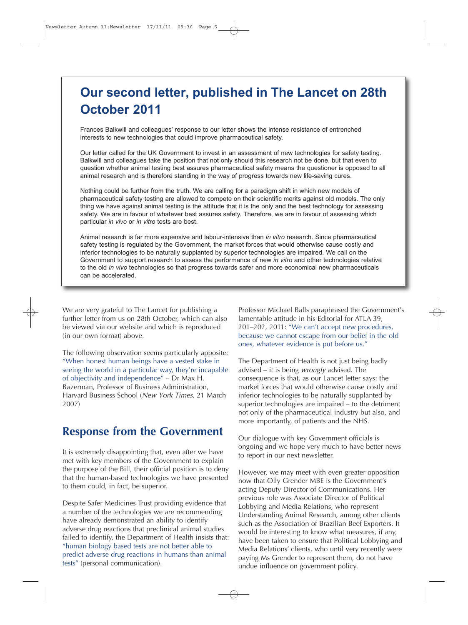# **Our second letter, published in The Lancet on 28th October 2011**

Frances Balkwill and colleagues' response to our letter shows the intense resistance of entrenched interests to new technologies that could improve pharmaceutical safety.

Our letter called for the UK Government to invest in an assessment of new technologies for safety testing. Balkwill and colleagues take the position that not only should this research not be done, but that even to question whether animal testing best assures pharmaceutical safety means the questioner is opposed to all animal research and is therefore standing in the way of progress towards new life-saving cures.

Nothing could be further from the truth. We are calling for a paradigm shift in which new models of pharmaceutical safety testing are allowed to compete on their scientific merits against old models. The only thing we have against animal testing is the attitude that it is the only and the best technology for assessing safety. We are in favour of whatever best assures safety. Therefore, we are in favour of assessing which particular in vivo or in vitro tests are best.

Animal research is far more expensive and labour-intensive than in vitro research. Since pharmaceutical safety testing is regulated by the Government, the market forces that would otherwise cause costly and inferior technologies to be naturally supplanted by superior technologies are impaired. We call on the Government to support research to assess the performance of new in vitro and other technologies relative to the old in vivo technologies so that progress towards safer and more economical new pharmaceuticals can be accelerated.

*We are very grateful to The Lancet for publishing a further letter from us on 28th October, which can also be viewed via our website and which is reproduced (in our own format) above.*

*The following observation seems particularly apposite: "When honest human beings have a vested stake in seeing the world in a particular way, they're incapable of objectivity and independence" – Dr Max H. Bazerman, Professor of Business Administration, Harvard Business School (New York Times, 21 March 2007)*

#### *Response from the Government*

*It is extremely disappointing that, even after we have met with key members of the Government to explain the purpose of the Bill, their official position is to deny that the human-based technologies we have presented to them could, in fact, be superior.* 

*Despite Safer Medicines Trust providing evidence that a number of the technologies we are recommending have already demonstrated an ability to identify adverse drug reactions that preclinical animal studies failed to identify, the Department of Health insists that: "human biology based tests are not better able to predict adverse drug reactions in humans than animal tests" (personal communication).*

*Professor Michael Balls paraphrased the Government's lamentable attitude in his Editorial for ATLA 39, 201–202, 2011: "We can't accept new procedures, because we cannot escape from our belief in the old ones, whatever evidence is put before us."*

*The Department of Health is not just being badly advised – it is being wrongly advised. The consequence is that, as our Lancet letter says: the market forces that would otherwise cause costly and inferior technologies to be naturally supplanted by superior technologies are impaired – to the detriment not only of the pharmaceutical industry but also, and more importantly, of patients and the NHS.* 

*Our dialogue with key Government officials is ongoing and we hope very much to have better news to report in our next newsletter.*

*However, we may meet with even greater opposition now that Olly Grender MBE is the Government's acting Deputy Director of Communications. Her previous role was Associate Director of Political Lobbying and Media Relations, who represent Understanding Animal Research, among other clients such as the Association of Brazilian Beef Exporters. It would be interesting to know what measures, if any, have been taken to ensure that Political Lobbying and Media Relations' clients, who until very recently were paying Ms Grender to represent them, do not have undue influence on government policy.*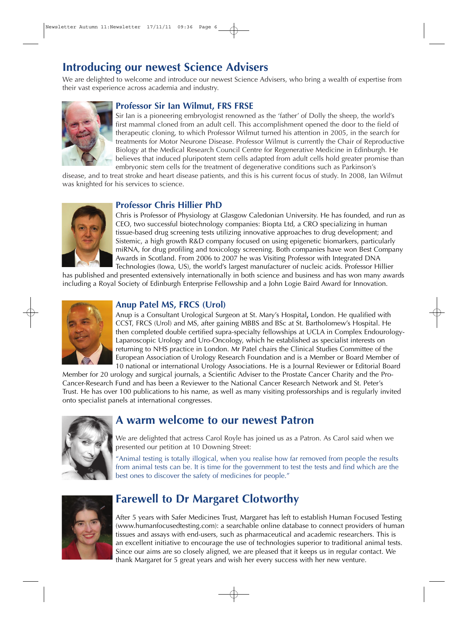# *Introducing our newest Science Advisers*

*We are delighted to welcome and introduce our newest Science Advisers, who bring a wealth of expertise from their vast experience across academia and industry.*



#### *Professor Sir Ian Wilmut, FRS FRSE*

*Sir Ian is a pioneering embryologist renowned as the 'father' of Dolly the sheep, the world's first mammal cloned from an adult cell. This accomplishment opened the door to the field of therapeutic cloning, to which Professor Wilmut turned his attention in 2005, in the search for treatments for Motor Neurone Disease. Professor Wilmut is currently the Chair of Reproductive Biology at the Medical Research Council Centre for Regenerative Medicine in Edinburgh. He believes that induced pluripotent stem cells adapted from adult cells hold greater promise than embryonic stem cells for the treatment of degenerative conditions such as Parkinson's*

*disease, and to treat stroke and heart disease patients, and this is his current focus of study. In 2008, Ian Wilmut was knighted for his services to science.*



#### *Professor Chris Hillier PhD*

*Chris is Professor of Physiology at Glasgow Caledonian University. He has founded, and run as CEO, two successful biotechnology companies: Biopta Ltd, a CRO specializing in human tissue-based drug screening tests utilizing innovative approaches to drug development; and Sistemic, a high growth R&D company focused on using epigenetic biomarkers, particularly miRNA, for drug profiling and toxicology screening. Both companies have won Best Company Awards in Scotland. From 2006 to 2007 he was Visiting Professor with Integrated DNA Technologies (Iowa, US), the world's largest manufacturer of nucleic acids. Professor Hillier*

*has published and presented extensively internationally in both science and business and has won many awards including a Royal Society of Edinburgh Enterprise Fellowship and a John Logie Baird Award for Innovation.*



#### *Anup Patel MS, FRCS (Urol)*

*Anup is a Consultant Urological Surgeon at St. Mary's Hospital, London. He qualified with CCST, FRCS (Urol) and MS, after gaining MBBS and BSc at St. Bartholomew's Hospital. He then completed double certified supra-specialty fellowships at UCLA in Complex Endourology-Laparoscopic Urology and Uro-Oncology, which he established as specialist interests on returning to NHS practice in London. Mr Patel chairs the Clinical Studies Committee of the European Association of Urology Research Foundation and is a Member or Board Member of 10 national or international Urology Associations. He is a Journal Reviewer or Editorial Board*

*Member for 20 urology and surgical journals, a Scientific Adviser to the Prostate Cancer Charity and the Pro-Cancer-Research Fund and has been a Reviewer to the National Cancer Research Network and St. Peter's Trust. He has over 100 publications to his name, as well as many visiting professorships and is regularly invited onto specialist panels at international congresses.*



#### *A warm welcome to our newest Patron*

*We are delighted that actress Carol Royle has joined us as a Patron. As Carol said when we presented our petition at 10 Downing Street:*

*"Animal testing is totally illogical, when you realise how far removed from people the results from animal tests can be. It is time for the government to test the tests and find which are the best ones to discover the safety of medicines for people."*



#### *Farewell to Dr Margaret Clotworthy*

*After 5 years with Safer Medicines Trust, Margaret has left to establish Human Focused Testing (www.humanfocusedtesting.com): a searchable online database to connect providers of human tissues and assays with end-users, such as pharmaceutical and academic researchers. This is an excellent initiative to encourage the use of technologies superior to traditional animal tests. Since our aims are so closely aligned, we are pleased that it keeps us in regular contact. We thank Margaret for 5 great years and wish her every success with her new venture.*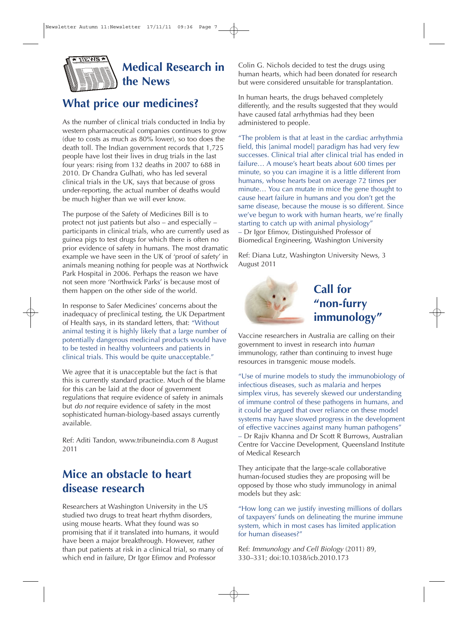

## *Medical Research in the News*

### *What price our medicines?*

*As the number of clinical trials conducted in India by western pharmaceutical companies continues to grow (due to costs as much as 80% lower), so too does the death toll. The Indian government records that 1,725 people have lost their lives in drug trials in the last four years: rising from 132 deaths in 2007 to 688 in 2010. Dr Chandra Gulhati, who has led several clinical trials in the UK, says that because of gross under-reporting, the actual number of deaths would be much higher than we will ever know.*

*The purpose of the Safety of Medicines Bill is to protect not just patients but also – and especially – participants in clinical trials, who are currently used as guinea pigs to test drugs for which there is often no prior evidence of safety in humans. The most dramatic example we have seen in the UK of 'proof of safety' in animals meaning nothing for people was at Northwick Park Hospital in 2006. Perhaps the reason we have not seen more 'Northwick Parks' is because most of them happen on the other side of the world.*

*In response to Safer Medicines' concerns about the inadequacy of preclinical testing, the UK Department of Health says, in its standard letters, that: "Without animal testing it is highly likely that a large number of potentially dangerous medicinal products would have to be tested in healthy volunteers and patients in clinical trials. This would be quite unacceptable."*

*We agree that it is unacceptable but the fact is that this is currently standard practice. Much of the blame for this can be laid at the door of government regulations that require evidence of safety in animals but do not require evidence of safety in the most sophisticated human-biology-based assays currently available.*

*Ref: Aditi Tandon, www.tribuneindia.com 8 August 2011*

### *Mice an obstacle to heart disease research*

*Researchers at Washington University in the US studied two drugs to treat heart rhythm disorders, using mouse hearts. What they found was so promising that if it translated into humans, it would have been a major breakthrough. However, rather than put patients at risk in a clinical trial, so many of which end in failure, Dr Igor Efimov and Professor*

*Colin G. Nichols decided to test the drugs using human hearts, which had been donated for research but were considered unsuitable for transplantation.*

*In human hearts, the drugs behaved completely differently, and the results suggested that they would have caused fatal arrhythmias had they been administered to people.*

*"The problem is that at least in the cardiac arrhythmia field, this [animal model] paradigm has had very few successes. Clinical trial after clinical trial has ended in failure… A mouse's heart beats about 600 times per minute, so you can imagine it is a little different from humans, whose hearts beat on average 72 times per minute… You can mutate in mice the gene thought to cause heart failure in humans and you don't get the same disease, because the mouse is so different. Since we've begun to work with human hearts, we're finally starting to catch up with animal physiology" – Dr Igor Efimov, Distinguished Professor of Biomedical Engineering, Washington University*

*Ref: Diana Lutz, Washington University News, 3 August 2011*



*Vaccine researchers in Australia are calling on their government to invest in research into human immunology, rather than continuing to invest huge resources in transgenic mouse models.* 

*"Use of murine models to study the immunobiology of infectious diseases, such as malaria and herpes simplex virus, has severely skewed our understanding of immune control of these pathogens in humans, and it could be argued that over reliance on these model systems may have slowed progress in the development of effective vaccines against many human pathogens" – Dr Rajiv Khanna and Dr Scott R Burrows, Australian Centre for Vaccine Development, Queensland Institute of Medical Research*

*They anticipate that the large-scale collaborative human-focused studies they are proposing will be opposed by those who study immunology in animal models but they ask:*

*"How long can we justify investing millions of dollars of taxpayers' funds on delineating the murine immune system, which in most cases has limited application for human diseases?"*

*Ref: Immunology and Cell Biology (2011) 89, 330–331; doi:10.1038/icb.2010.173*